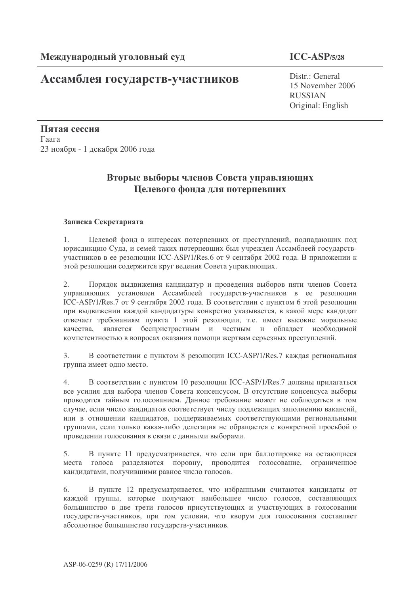# Ассамблея государств-участников

**ICC-ASP/5/28**

Distr.: General 15 November 2006 RUSSIAN Original: English

Пятая сессия Гаага 23 ноября - 1 декабря 2006 года

# Вторые выборы членов Совета управляющих Целевого фонда для потерпевших

# Записка Секретариата

1. Целевой фонд в интересах потерпевших от преступлений, подпадающих под юрисдикцию Суда, и семей таких потерпевших был учрежден Ассамблеей государствучастников в ее резолюции ICC-ASP/1/Res.6 от 9 сентября 2002 года. В приложении к этой резолюции содержится круг ведения Совета управляющих.

2. Порядок выдвижения кандидатур и проведения выборов пяти членов Совета управляющих установлен Ассамблеей государств-участников в ее резолюции ICC-ASP/1/Res.7 от 9 сентября 2002 года. В соответствии с пунктом 6 этой резолюции при выдвижении каждой кандидатуры конкретно указывается, в какой мере кандидат отвечает требованиям пункта 1 этой резолюции, т.е. имеет высокие моральные качества, является беспристрастным и честным и обладает необходимой компетентностью в вопросах оказания помощи жертвам серьезных преступлений.

3. В соответствии с пунктом 8 резолюции ICC-ASP/1/Res.7 каждая региональная группа имеет одно место.

4. В соответствии с пунктом 10 резолюции ICC-ASP/1/Res.7 должны прилагаться все усилия для выбора членов Совета консенсусом. В отсутствие консенсуса выборы проводятся тайным голосованием. Данное требование может не соблюдаться в том случае, если число кандидатов соответствует числу подлежащих заполнению вакансий, или в отношении кандидатов, поддерживаемых соответствующими региональными группами, если только какая-либо делегация не обращается с конкретной просьбой о проведении голосования в связи с данными выборами.

5. В пункте 11 предусматривается, что если при баллотировке на остающиеся места голоса разделяются поровну, проводится голосование, ограниченное кандидатами, получившими равное число голосов.

6. В пункте 12 предусматривается, что избранными считаются кандидаты от каждой группы, которые получают наибольшее число голосов, составляющих большинство в две трети голосов присутствующих и участвующих в голосовании государств-участников, при том условии, что кворум для голосования составляет абсолютное большинство государств-участников.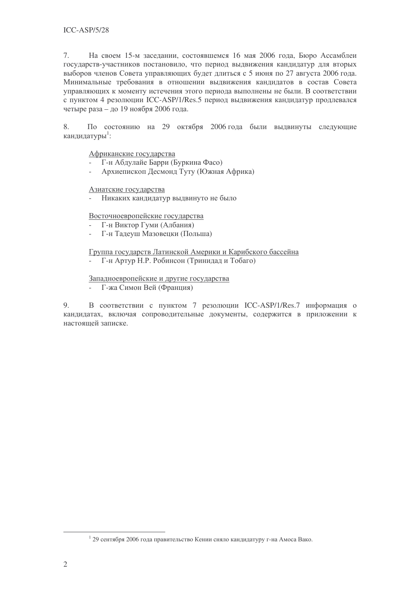7. На своем 15-м заседании, состоявшемся 16 мая 2006 года, Бюро Ассамблеи государств-участников постановило, что период выдвижения кандидатур для вторых выборов членов Совета управляющих будет длиться с 5 июня по 27 августа 2006 года. Минимальные требования в отношении выдвижения кандидатов в состав Совета управляющих к моменту истечения этого периода выполнены не были. В соответствии с пунктом 4 резолюции ICC-ASP/1/Res.5 период выдвижения кандидатур продлевался четыре раза - до 19 ноября 2006 года.

8. По состоянию на 29 октября 2006 года были выдвинуты следующие кандидатуры<sup>1</sup>:

Африканские государства

- Г-н Абдулайе Барри (Буркина Фасо)
- Архиепископ Десмонд Туту (Южная Африка)

Азиатские государства

Никаких кандилатур выдвинуто не было

Восточноевропейские государства

- Г-н Виктор Гуми (Албания)
- Г-н Тадеуш Мазовецки (Польша)

Группа государств Латинской Америки и Карибского бассейна

Г-н Артур Н.Р. Робинсон (Тринидад и Тобаго)

Западноевропейские и другие государства

- Г-жа Симон Вей (Франция)

9. В соответствии с пунктом 7 резолюции ICC-ASP/1/Res.7 информация о кандидатах, включая сопроводительные документы, содержится в приложении к настоящей записке.

 $129$  сентября 2006 года правительство Кении сняло кандидатуру г-на Амоса Вако.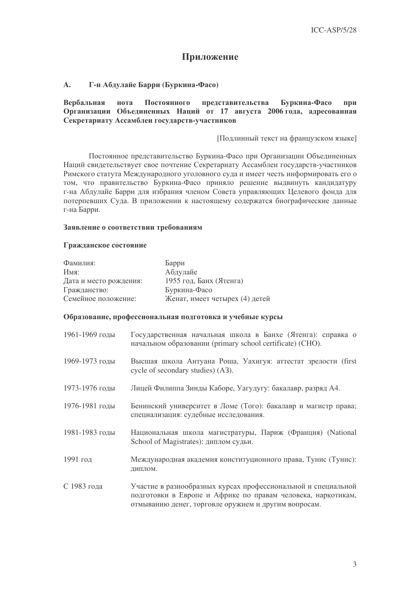# Приложение

# А. Г-н Абдулайе Барри (Буркина-Фасо)

#### Вербальная рбальная нота Постоянного представите **Буркина-Фасо** при Организации Объединенных Наций от 17 августа 2006 года, адресованная Секретариату Ассамблеи государств-участников

[Подлинный текст на французском языке]

Постоянное представительство Буркина-Фасо при Организации Объединенных Наций свидетельствует свое почтение Секретариату Ассамблеи государств-участников Римского статута Международного уголовного суда и имеет честь информировать его о том, что правительство Буркина-Фасо приняло решение выдвинуть кандидатуру г-на Абдулайе Барри для избрания членом Совета управляющих Целевого фонда для потерпевших Суда. В приложении к настоящему содержатся биографические данные г-на Барри.

## Заявление о соответствии требованиям

#### Гражданское состояние

| Фамилия:               | Барри                          |
|------------------------|--------------------------------|
| Имя:                   | Абдулайе                       |
| Дата и место рождения: | 1955 год, Банх (Ятенга)        |
| Гражданство:           | Буркина-Фасо                   |
| Семейное положение:    | Женат, имеет четырех (4) детей |

# Образование, профессиональная подготовка и учебные курсы

| 1961-1969 годы | Государственная начальная школа в Банхе (Ятенга): справка о<br>начальном образовании (primary school certificate) (CHO).                                                              |
|----------------|---------------------------------------------------------------------------------------------------------------------------------------------------------------------------------------|
| 1969-1973 годы | Высшая школа Антуана Роша, Уахигуя: аттестат зрелости (first<br>cycle of secondary studies) (A3).                                                                                     |
| 1973-1976 годы | Лицей Филиппа Зинды Каборе, Уагудугу: бакалавр, разряд А4.                                                                                                                            |
| 1976-1981 годы | Бенинский университет в Ломе (Того): бакалавр и магистр права;<br>специализация: судебные исследования.                                                                               |
| 1981-1983 годы | Национальная школа магистратуры, Париж (Франция) (National<br>School of Magistrates): диплом судьи.                                                                                   |
| 1991 год       | Международная академия конституционного права, Тунис (Тунис):<br>ДИПЛОМ.                                                                                                              |
| С 1983 года    | Участие в разнообразных курсах профессиональной и специальной<br>подготовки в Европе и Африке по правам человека, наркотикам,<br>отмыванию денег, торговле оружием и другим вопросам. |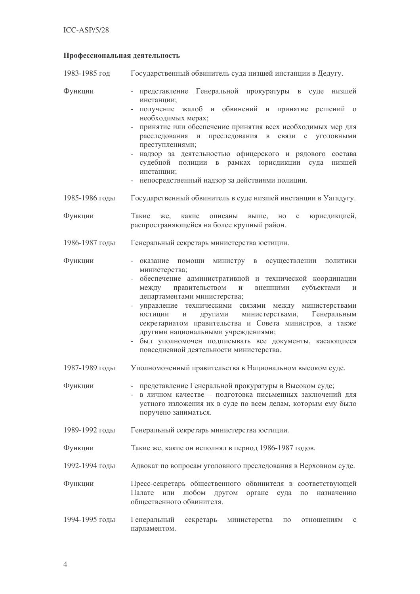#### Профессиональная деятельность

| 1983-1985 год |  | І осударственный обвинитель суда низшей инстанции в Дедугу. |  |
|---------------|--|-------------------------------------------------------------|--|
|               |  |                                                             |  |

- Функции - представление Генеральной прокуратуры в суде низшей инстанции;
	- получение жалоб и обвинений и принятие решений о необходимых мерах;
	- принятие или обеспечение принятия всех необходимых мер для расследования и преследования в связи с уголовными преступлениями;
	- надзор за деятельностью офицерского и рядового состава судебной полиции в рамках юрисдикции суда низшей инстанции;
	- непосредственный надзор за действиями полиции.
- 1985-1986 голы Государственный обвинитель в суде низшей инстанции в Уагадугу.
- Функции Такие какие описаны выше. юрисдикцией, же. HO  $\mathbf{c}$ распространяющейся на более крупный район.
- 1986-1987 годы Генеральный секретарь министерства юстиции.
- Функции оказание помощи министру в осуществлении политики министерства:
	- обеспечение административной и технической координации правительством между  $\,$   $\,$   $\,$   $\,$ внешними субъектами  $\overline{M}$ департаментами министерства;
	- управление техническими связями между министерствами юстиции  $\,$  M ДРУГИМИ министерствами, Генеральным секретариатом правительства и Совета министров, а также другими национальными учреждениями;
	- был уполномочен подписывать все документы, касающиеся повседневной деятельности министерства.
- 1987-1989 голы Уполномоченный правительства в Национальном высоком суде.
- Функции - представление Генеральной прокуратуры в Высоком суде;
	- в личном качестве подготовка письменных заключений для устного изложения их в суде по всем делам, которым ему было поручено заниматься.
- 1989-1992 голы Генеральный секретарь министерства юстиции.
- Функции Такие же, какие он исполнял в период 1986-1987 годов.
- 1992-1994 годы Адвокат по вопросам уголовного преследования в Верховном суде.

Функции Пресс-секретарь общественного обвинителя в соответствующей Палате или любом другом органе суда по назначению обшественного обвинителя.

1994-1995 годы Генеральный министерства секретарь  $\Pi$ <sup>O</sup> отношениям с парламентом.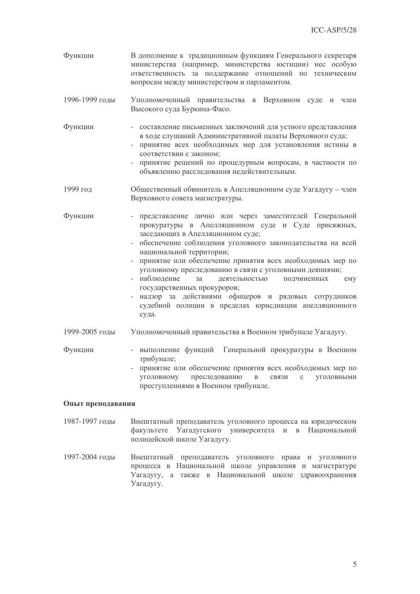- Функции В дополнение к традиционным функциям Генерального секретаря министерства (например, министерства юстиции) нес особую ответственность за поддержание отношений по техническим вопросам между министерством и парламентом.
- 1996-1999 голы Уполномоченный правительства в Верховном суде и член Высокого суда Буркина-Фасо.
- Функции  $\omega_{\rm c}$ составление письменных заключений для устного представления в ходе слушаний Административной палаты Верховного суда;
	- принятие всех необходимых мер для установления истины в соответствии с законом;
	- принятие решений по процедурным вопросам, в частности по объявлению расследования недействительным.
- 1999 год Общественный обвинитель в Апелляционном суде Уагадугу - член Верховного совета магистратуры.
- Функции - представление лично или через заместителей Генеральной прокуратуры в Апелляционном суде и Суде присяжных, заседающих в Апелляционном суде;
	- обеспечение соблюдения уголовного законодательства на всей национальной территории:
	- принятие или обеспечение принятия всех необходимых мер по уголовному преследованию в связи с уголовными деяниями:
	- наблюдение деятельностью подчиненных  $3a$ emy государственных прокуроров;
	- надзор за действиями офицеров и рядовых сотрудников судебной полиции в пределах юрисдикции апелляционного суда.
- 1999-2005 годы Уполномоченный правительства в Военном трибунале Уагадугу.
- Функции - выполнение функций Генеральной прокуратуры в Военном трибунале;
	- принятие или обеспечение принятия всех необходимых мер по **VFOJIOBHOMV** преследованию  $\mathbf{B}$ связи  $\mathbf{c}$ **VГОЛОВНЫМИ** преступлениями в Военном трибунале.

### Опыт преподавания

- 1987-1997 годы Внештатный преподаватель уголовного процесса на юридическом факультете Уагадугского университета и в Национальной полицейской школе Уагадугу.
- 1997-2004 годы Внештатный преподаватель уголовного права и уголовного процесса в Национальной школе управления и магистратуре Уагадугу, а также в Национальной школе здравоохранения Уагалугу.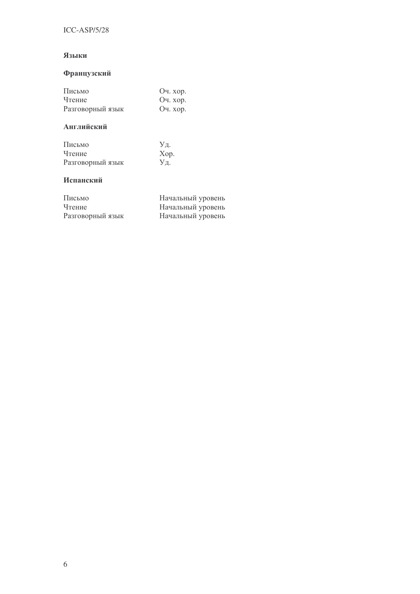# Языки

# Французский

| Письмо           | Оч. хор.    |
|------------------|-------------|
| Чтение           | Оч. хор.    |
| Разговорный язык | Оч. хор.    |
| Английский       |             |
| Письмо           | Уд.         |
| Чтение           | Xop.        |
| Разговорный язык | Уд.         |
| Испанский        |             |
| Письмо           | Начальный у |

| Письмо           | Начальный уровень |
|------------------|-------------------|
| Чтение           | Начальный уровень |
| Разговорный язык | Начальный уровень |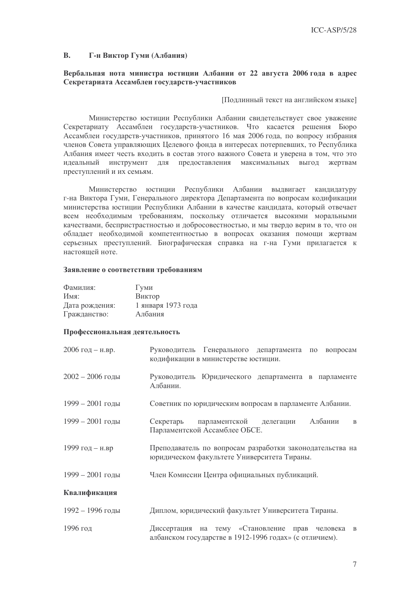#### **B.** Г-н Виктор Гуми (Албания)

# Вербальная нота министра юстиции Албании от 22 августа 2006 года в адрес Секретариата Ассамблеи государств-участников

[Подлинный текст на английском языке]

Министерство юстиции Республики Албании свидетельствует свое уважение Секретариату Ассамблеи государств-участников. Что касается решения Бюро Ассамблеи государств-участников, принятого 16 мая 2006 года, по вопросу избрания членов Совета управляющих Целевого фонда в интересах потерпевших, то Республика Албания имеет честь входить в состав этого важного Совета и уверена в том, что это идеальный инструмент для предоставления максимальных выгод жертвам преступлений и их семьям.

Министерство юстиции Республики Албании выдвигает кандидатуру г-на Виктора Гуми. Генерального лиректора Лепартамента по вопросам колификации министерства юстиции Республики Албании в качестве кандидата, который отвечает всем необходимым требованиям, поскольку отличается высокими моральными качествами, беспристрастностью и добросовестностью, и мы твердо верим в то, что он обладает необходимой компетентностью в вопросах оказания помощи жертвам серьезных преступлений. Биографическая справка на г-на Гуми прилагается к настоящей ноте.

## Заявление о соответствии требованиям

| Фамилия:       | Гуми               |
|----------------|--------------------|
| Имя:           | Виктор             |
| Дата рождения: | 1 января 1973 года |
| Гражданство:   | Албания            |

### Профессиональная деятельность

| 2006 год – н.вр.   | Руководитель Генерального департамента по<br>вопросам<br>кодификации в министерстве юстиции.            |
|--------------------|---------------------------------------------------------------------------------------------------------|
| $2002 - 2006$ годы | Руководитель Юридического департамента в парламенте<br>Албании.                                         |
| $1999 - 2001$ годы | Советник по юридическим вопросам в парламенте Албании.                                                  |
| $1999 - 2001$ годы | Албании<br>Секретарь парламентской<br>делегации<br>B<br>Парламентской Ассамблее ОБСЕ.                   |
| 1999 год - н.вр    | Преподаватель по вопросам разработки законодательства на<br>юридическом факультете Университета Тираны. |
| 1999 - 2001 годы   | Член Комиссии Центра официальных публикаций.                                                            |
| Квалификация       |                                                                                                         |
| 1992 - 1996 годы   | Диплом, юридический факультет Университета Тираны.                                                      |
| 1996 год           | тему «Становление<br>Диссертация<br>на<br>прав<br>человека<br>B                                         |

албанском государстве в 1912-1996 годах» (с отличием).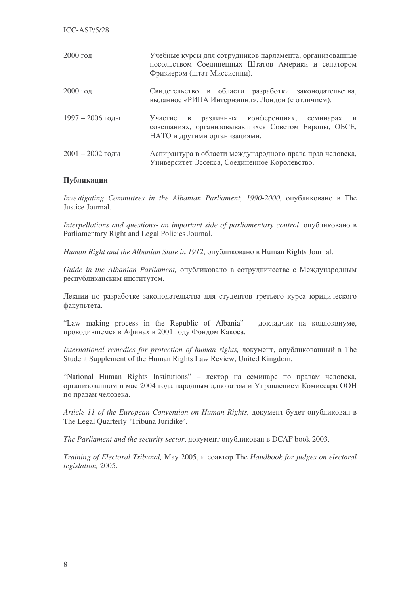| $100 - 1101 - 00$  |                                                                                                                                               |
|--------------------|-----------------------------------------------------------------------------------------------------------------------------------------------|
| $2000$ год         | Учебные курсы для сотрудников парламента, организованные<br>посольством Соединенных Штатов Америки и сенатором<br>Фризиером (штат Миссисипи). |
| 2000 год           | Свидетельство в области разработки законодательства,<br>выданное «РИПА Интернэшнл», Лондон (с отличием).                                      |
| $1997 - 2006$ годы | различных конференциях, семинарах и<br>Участие в<br>совещаниях, организовывавшихся Советом Европы, ОБСЕ,<br>НАТО и другими организациями.     |
| $2001 - 2002$ годы | Аспирантура в области международного права прав человека,<br>Университет Эссекса, Соединенное Королевство.                                    |

# Публикации

ICC- $\triangle$ SP/5/28

Investigating Committees in the Albanian Parliament, 1990-2000, опубликовано в The Justice Journal.

Interpellations and questions- an *important* side of parliamentary control, опубликовано в Parliamentary Right and Legal Policies Journal.

Human Right and the Albanian State in 1912, опубликовано в Human Rights Journal.

Guide in the Albanian Parliament, опубликовано в сотрудничестве с Международным республиканским институтом.

Лекции по разработке законодательства для студентов третьего курса юридического факультета.

"Law making process in the Republic of Albania" - докладчик на коллоквиуме, проводившемся в Афинах в 2001 году Фондом Какоса.

International remedies for protection of human rights, документ, опубликованный в The Student Supplement of the Human Rights Law Review, United Kingdom.

"National Human Rights Institutions" - лектор на семинаре по правам человека, организованном в мае 2004 года народным адвокатом и Управлением Комиссара ООН по правам человека.

Article 11 of the European Convention on Human Rights, документ будет опубликован в The Legal Quarterly 'Tribuna Juridike'.

The Parliament and the security sector, документ опубликован в DCAF book 2003.

 $Training$  *of Electoral Tribunal*, Мау 2005, и соавтор The *Handbook for judges on electoral legislation,* 2005.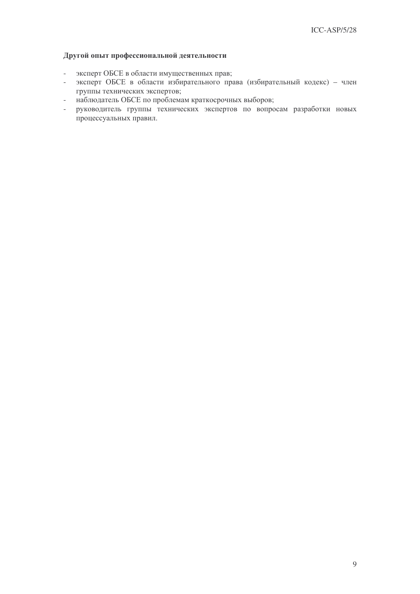# Другой опыт профессиональной деятельности

- эксперт ОБСЕ в области имущественных прав;
- эксперт ОБСЕ в области избирательного права (избирательный кодекс) член  $\omega_{\rm{eff}}$ группы технических экспертов;
- наблюдатель ОБСЕ по проблемам краткосрочных выборов;
- $\omega_{\rm{eff}}$ руководитель группы технических экспертов по вопросам разработки новых процессуальных правил.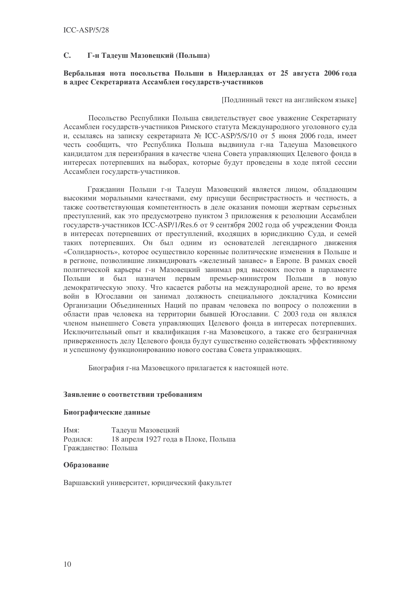#### $\mathbf{C}$ . Г-н Тадеуш Мазовецкий (Польша)

# Вербальная нота посольства Польши в Нидерландах от 25 августа 2006 года в адрес Секретариата Ассамблеи государств-участников

Подлинный текст на английском языке]

Посольство Республики Польша свидетельствует свое уважение Секретариату Ассамблеи государств-участников Римского статута Международного уголовного суда и, ссылаясь на записку секретариата № ICC-ASP/5/S/10 от 5 июня 2006 года, имеет честь сообщить, что Республика Польша выдвинула г-на Тадеуша Мазовецкого кандидатом для переизбрания в качестве члена Совета управляющих Целевого фонда в интересах потерпевших на выборах, которые будут проведены в ходе пятой сессии Ассамблеи государств-участников.

Гражданин Польши г-н Тадеуш Мазовецкий является лицом, обладающим высокими моральными качествами, ему присущи беспристрастность и честность, а также соответствующая компетентность в деле оказания помощи жертвам серьезных преступлений, как это предусмотрено пунктом 3 приложения к резолюции Ассамблеи государств-участников ICC-ASP/1/Res.6 от 9 сентября 2002 года об учреждении Фонда в интересах потерпевших от преступлений, входящих в юрисдикцию Суда, и семей таких потерпевших. Он был одним из основателей легендарного движения «Солидарность», которое осуществило коренные политические изменения в Польше и в регионе, позволившие ликвидировать «железный занавес» в Европе. В рамках своей политической карьеры г-н Мазовецкий занимал ряд высоких постов в парламенте Польши и был назначен первым премьер-министром Польши в новую демократическую эпоху. Что касается работы на международной арене, то во время войн в Югославии он занимал должность специального докладчика Комиссии Организации Объединенных Наций по правам человека по вопросу о положении в области прав человека на территории бывшей Югославии. С 2003 года он являлся членом нынешнего Совета управляющих Целевого фонда в интересах потерпевших. Исключительный опыт и квалификация г-на Мазовецкого, а также его безграничная приверженность делу Целевого фонда будут существенно содействовать эффективному и успешному функционированию нового состава Совета управляющих.

Биография г-на Мазовецкого прилагается к настоящей ноте.

### Заявление о соответствии требованиям

# Биографические данные

Имя· Тадеуш Мазовецкий Ролился: 18 апреля 1927 года в Плоке, Польша Гражданство: Польша

### Образование

Варшавский университет, юридический факультет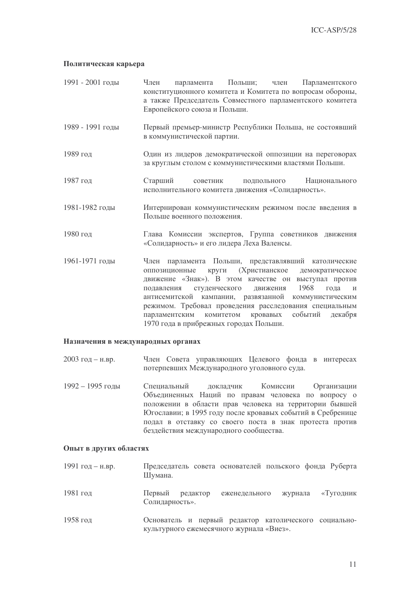## Политическая карьера

| 1991 - 2001 годы | Член парламента Польши; член Парламентского<br>конституционного комитета и Комитета по вопросам обороны,<br>а также Председатель Совместного парламентского комитета<br>Европейского союза и Польши.                                                                                                                                                                                                                                          |
|------------------|-----------------------------------------------------------------------------------------------------------------------------------------------------------------------------------------------------------------------------------------------------------------------------------------------------------------------------------------------------------------------------------------------------------------------------------------------|
| 1989 - 1991 годы | Первый премьер-министр Республики Польша, не состоявший<br>в коммунистической партии.                                                                                                                                                                                                                                                                                                                                                         |
| 1989 год         | Один из лидеров демократической оппозиции на переговорах<br>за круглым столом с коммунистическими властями Польши.                                                                                                                                                                                                                                                                                                                            |
| 1987 год         | Старший советник подпольного Национального<br>исполнительного комитета движения «Солидарность».                                                                                                                                                                                                                                                                                                                                               |
| 1981-1982 годы   | Интернирован коммунистическим режимом после введения в<br>Польше военного положения.                                                                                                                                                                                                                                                                                                                                                          |
| 1980 год         | Глава Комиссии экспертов, Группа советников движения<br>«Солидарность» и его лидера Леха Валенсы.                                                                                                                                                                                                                                                                                                                                             |
| 1961-1971 годы   | Член парламента Польши, представлявший католические<br>круги (Христианское демократическое<br>оппозиционные<br>движение «Знак»). В этом качестве он выступал против<br>подавления студенческого движения 1968 года<br>W<br>антисемитской кампании, развязанной<br>коммунистическим<br>режимом. Требовал проведения расследования специальным<br>парламентским комитетом кровавых<br>событий декабря<br>1970 года в прибрежных городах Польши. |

# Назначения в международных органах

- 2003 год н.вр. Член Совета управляющих Целевого фонда в интересах потерпевших Международного уголовного суда.
- $1992 1995$  голы Специальный Комиссии Организации локладчик Объединенных Наций по правам человека по вопросу о положении в области прав человека на территории бывшей Югославии; в 1995 году после кровавых событий в Сребренице подал в отставку со своего поста в знак протеста против бездействия международного сообщества.

# Опыт в других областях

| 1991 год – н.вр. | Председатель совета основателей польского фонда Руберта<br>Шумана.                                |
|------------------|---------------------------------------------------------------------------------------------------|
| 1981 год         | «Тугодник<br>Первый редактор<br>журнала<br>еженедельного<br>Солидарность».                        |
| 1958 год         | Основатель и первый редактор католического социально-<br>культурного ежемесячного журнала «Виез». |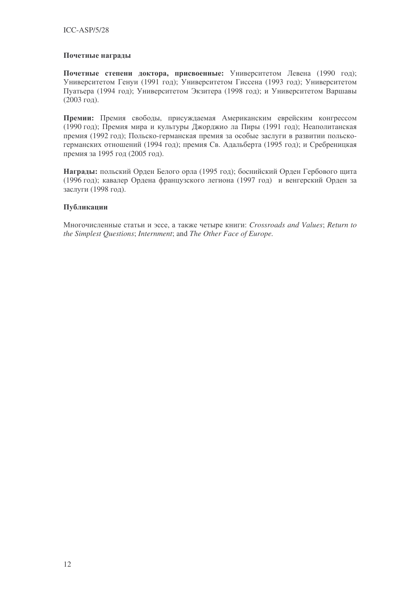# Почетные награды

Почетные степени доктора, присвоенные: Университетом Левена (1990 год); Университетом Генуи (1991 год); Университетом Гиссена (1993 год); Университетом Пуатьера (1994 год); Университетом Экзитера (1998 год); и Университетом Варшавы  $(2003 \text{ год}).$ 

Премии: Премия свободы, присуждаемая Американским еврейским конгрессом (1990 год); Премия мира и культуры Джорджио ла Пиры (1991 год); Неаполитанская премия (1992 год); Польско-германская премия за особые заслуги в развитии польскогерманских отношений (1994 год); премия Св. Адальберта (1995 год); и Сребреницкая премия за 1995 год (2005 год).

Награды: польский Орден Белого орла (1995 год); боснийский Орден Гербового щита (1996 год); кавалер Ордена французского легиона (1997 год) и венгерский Орден за заслуги (1998 год).

# Публикации

Многочисленные статьи и эссе, а также четыре книги: Crossroads and Values; Return to *the Simplest Questions*; *Internment*; and *The Other Face of Europe.*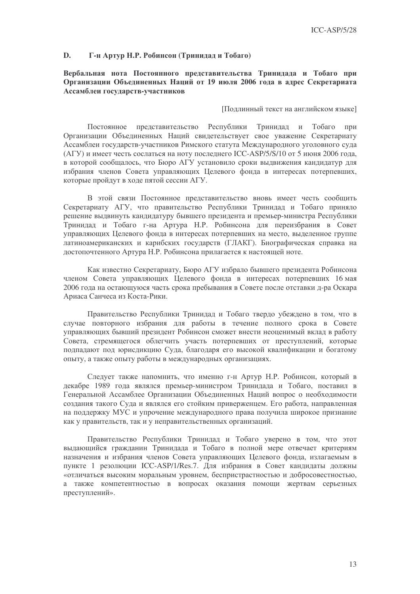#### D. Г-н Артур Н.Р. Робинсон (Тринидад и Тобаго)

# Вербальная нота Постоянного представительства Тринидада и Тобаго при Организации Объединенных Наций от 19 июля 2006 года в адрес Секретариата Ассамблеи государств-участников

Подлинный текст на английском языке]

Постоянное представительство Республики Тринидад и Тобаго при Организации Объединенных Наций свидетельствует свое уважение Секретариату Ассамблеи государств-участников Римского статута Международного уголовного суда (АГУ) и имеет честь сослаться на ноту последнего ICC-ASP/5/S/10 от 5 июня 2006 года, в которой сообщалось, что Бюро АГУ установило сроки выдвижения кандидатур для избрания членов Совета управляющих Целевого фонда в интересах потерпевших, которые пройдут в ходе пятой сессии АГУ.

В этой связи Постоянное представительство вновь имеет честь сообщить Секретариату АГУ, что правительство Республики Тринидал и Тобаго приняло решение выдвинуть кандидатуру бывшего президента и премьер-министра Республики Тринидад и Тобаго г-на Артура Н.Р. Робинсона для переизбрания в Совет управляющих Целевого фонда в интересах потерпевших на место, выделенное группе латиноамериканских и карибских государств (ГЛАКГ). Биографическая справка на достопочтенного Артура Н.Р. Робинсона прилагается к настоящей ноте.

Как известно Секретариату, Бюро АГУ избрало бывшего президента Робинсона членом Совета управляющих Целевого фонда в интересах потерпевших 16 мая 2006 года на остающуюся часть срока пребывания в Совете после отставки д-ра Оскара Ариаса Санчеса из Коста-Рики.

Правительство Республики Тринидад и Тобаго твердо убеждено в том, что в случае повторного избрания для работы в течение полного срока в Совете управляющих бывший президент Робинсон сможет внести неоценимый вклад в работу Совета, стремящегося облегчить участь потерпевших от преступлений, которые подпадают под юрисдикцию Суда, благодаря его высокой квалификации и богатому опыту, а также опыту работы в международных организациях.

Следует также напомнить, что именно г-н Артур Н.Р. Робинсон, который в декабре 1989 года являлся премьер-министром Тринидада и Тобаго, поставил в Генеральной Ассамблее Организации Объединенных Наций вопрос о необходимости создания такого Суда и являлся его стойким приверженцем. Его работа, направленная на поддержку МУС и упрочение международного права получила широкое признание как у правительств, так и у неправительственных организаций.

Правительство Республики Тринидад и Тобаго уверено в том, что этот выдающийся гражданин Тринидада и Тобаго в полной мере отвечает критериям назначения и избрания членов Совета управляющих Целевого фонда, излагаемым в пункте 1 резолюции ICC-ASP/1/Res.7. Для избрания в Совет кандидаты должны «отличаться высоким моральным уровнем, беспристрастностью и добросовестностью, а также компетентностью в вопросах оказания помощи жертвам серьезных преступлений».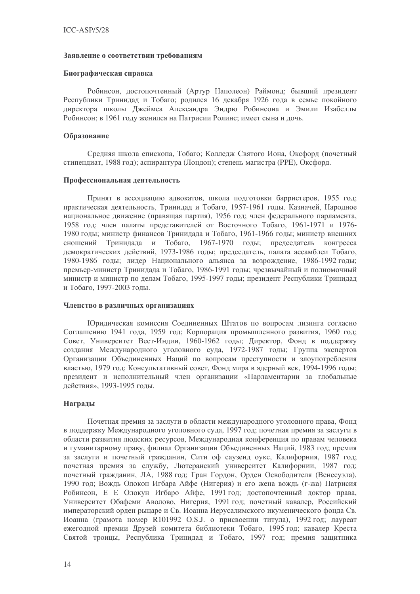#### Заявление о соответствии требованиям

### Биографическая справка

Робинсон, достопочтенный (Артур Наполеон) Раймонд; бывший президент Республики Тринидад и Тобаго; родился 16 декабря 1926 года в семье покойного директора школы Джеймса Александра Эндрю Робинсона и Эмили Изабеллы Робинсон; в 1961 году женился на Патрисии Ролинс; имеет сына и дочь.

# Образование

Средняя школа епископа, Тобаго; Колледж Святого Иона, Оксфорд (почетный стипендиат, 1988 год); аспирантура (Лондон); степень магистра (РРЕ), Оксфорд.

### Профессиональная деятельность

Принят в ассоциацию адвокатов, школа подготовки барристеров, 1955 год; практическая деятельность, Тринидад и Тобаго, 1957-1961 годы. Казначей, Народное национальное движение (правящая партия), 1956 год; член федерального парламента, 1958 год; член палаты представителей от Восточного Тобаго, 1961-1971 и 1976-1980 годы; министр финансов Тринидада и Тобаго, 1961-1966 годы; министр внешних сношений Тринидада и Тобаго, 1967-1970 годы; председатель конгресса демократических действий, 1973-1986 годы; председатель, палата ассамблеи Тобаго, 1980-1986 годы; лидер Национального альянса за возрождение, 1986-1992 годы; премьер-министр Тринидада и Тобаго, 1986-1991 годы; чрезвычайный и полномочный министр и министр по делам Тобаго, 1995-1997 годы; президент Республики Тринидад и Тобаго, 1997-2003 годы.

# Членство в различных организациях

Юридическая комиссия Соединенных Штатов по вопросам лизинга согласно Соглашению 1941 года, 1959 год; Корпорация промышленного развития, 1960 год; Совет, Университет Вест-Индии, 1960-1962 годы; Директор, Фонд в поддержку создания Международного уголовного суда, 1972-1987 годы; Группа экспертов Организации Объединенных Наций по вопросам преступности и злоупотребления властью, 1979 год; Консультативный совет, Фонд мира в ядерный век, 1994-1996 годы; президент и исполнительный член организации «Парламентарии за глобальные действия», 1993-1995 годы.

## Награды

Почетная премия за заслуги в области международного уголовного права, Фонд в поддержку Международного уголовного суда, 1997 год; почетная премия за заслуги в области развития людских ресурсов, Международная конференция по правам человека и гуманитарному праву, филиал Организации Объединенных Наций, 1983 год; премия за заслуги и почетный гражданин, Сити оф саузенд оукс, Калифорния, 1987 год; почетная премия за службу, Лютеранский университет Калифорнии, 1987 год; почетный гражданин, ЛА, 1988 год; Гран Гордон, Орден Освободителя (Венесуэла), 1990 год; Вождь Олокон Игбара Айфе (Нигерия) и его жена вождь (г-жа) Патрисия Робинсон, Е Е Олокун Игбаро Айфе, 1991 год; достопочтенный доктор права, Университет Обафеми Аволово, Нигерия, 1991 год; почетный кавалер, Российский императорский орден рыцаре и Св. Иоанна Иерусалимского икуменического фонда Св. Иоанна (грамота номер R101992 O.S.J. о присвоении титула), 1992 год; лауреат ежегодной премии Друзей комитета библиотеки Тобаго, 1995 год; кавалер Креста Святой троицы, Республика Тринидад и Тобаго, 1997 год; премия защитника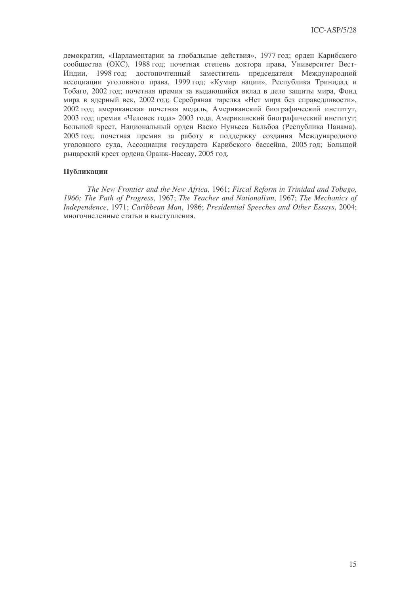демократии, «Парламентарии за глобальные действия», 1977 год; орден Карибского сообщества (ОКС), 1988 год; почетная степень доктора права, Университет Вест-Индии, 1998 год; достопочтенный заместитель председателя Международной ассоциации уголовного права, 1999 год; «Кумир нации», Республика Тринидад и Тобаго, 2002 год; почетная премия за выдающийся вклад в дело защиты мира, Фонд мира в ядерный век, 2002 год; Серебряная тарелка «Нет мира без справедливости», 2002 год; американская почетная медаль, Американский биографический институт, 2003 год; премия «Человек года» 2003 года, Американский биографический институт; Большой крест, Национальный орден Васко Нуньеса Бальбоа (Республика Панама), 2005 год; почетная премия за работу в поддержку создания Международного уголовного суда, Ассоциация государств Карибского бассейна, 2005 год; Большой рыцарский крест ордена Оранж-Нассау, 2005 год.

# Публикации

*The New Frontier and the New Africa*, 1961; *Fiscal Reform in Trinidad and Tobago, 1966; The Path of Progress*, 1967; *The Teacher and Nationalism*, 1967; *The Mechanics of Independence*, 1971; *Caribbean Man*, 1986; *Presidential Speeches and Other Essays*, 2004; многочисленные статьи и выступления.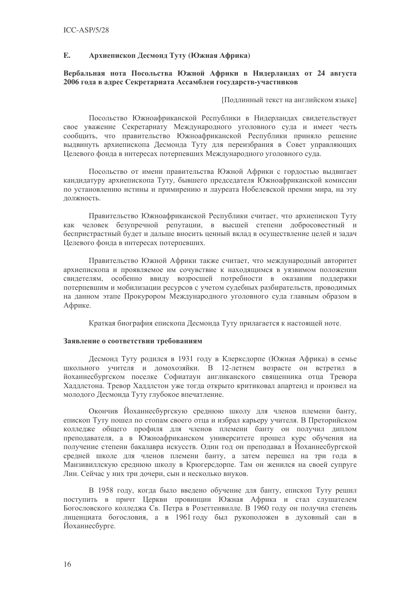#### E. Архиепископ Десмонд Туту (Южная Африка)

# Вербальная нота Посольства Южной Африки в Нидерландах от 24 августа 2006 года в адрес Секретариата Ассамблеи государств-участников

Подлинный текст на английском языке]

Посольство Южноафриканской Республики в Нидерландах свидетельствует свое уважение Секретариату Международного уголовного суда и имеет честь сообщить, что правительство Южноафриканской Республики приняло решение выдвинуть архиепископа Десмонда Туту для переизбрания в Совет управляющих Целевого фонда в интересах потерпевших Международного уголовного суда.

Посольство от имени правительства Южной Африки с гордостью выдвигает кандидатуру архиепископа Туту, бывшего председателя Южноафриканской комиссии по установлению истины и примирению и лауреата Нобелевской премии мира, на эту лолжность.

Правительство Южноафриканской Республики считает, что архиепископ Туту как человек безупречной репутации, в высшей степени добросовестный и беспристрастный будет и дальше вносить ценный вклад в осуществление целей и задач Целевого фонда в интересах потерпевших.

Правительство Южной Африки также считает, что международный авторитет архиепископа и проявляемое им сочувствие к находящимся в уязвимом положении свидетелям, особенно ввиду возросшей потребности в оказании поддержки потерпевшим и мобилизации ресурсов с учетом судебных разбирательств, проводимых на данном этапе Прокурором Международного уголовного суда главным образом в Африке.

Краткая биография епископа Десмонда Туту прилагается к настоящей ноте.

### Заявление о соответствии требованиям

Десмонд Туту родился в 1931 году в Клерксдорпе (Южная Африка) в семье школьного учителя и домохозяйки. В 12-летнем возрасте он встретил в йоханнесбургском поселке Софиатаун англиканского священника отца Тревора Хаддлстона. Тревор Хаддлстон уже тогда открыто критиковал апартеид и произвел на молодого Десмонда Туту глубокое впечатление.

Окончив Йоханнесбургскую среднюю школу для членов племени банту, епископ Туту пошел по стопам своего отца и избрал карьеру учителя. В Преторийском колледже общего профиля для членов племени банту он получил диплом преподавателя, а в Южноафриканском университете прошел курс обучения на получение степени бакалавра искусств. Один год он преподавал в Йоханнесбургской средней школе для членов племени банту, а затем перешел на три года в Манзивиллскую среднюю школу в Крюгерсдорпе. Там он женился на своей супруге Лии. Сейчас у них три дочери, сын и несколько внуков.

В 1958 году, когда было введено обучение для банту, епископ Туту решил поступить в причт Церкви провинции Южная Африка и стал слушателем Богословского колледжа Св. Петра в Розеттенвилле. В 1960 году он получил степень лиценциата богословия, а в 1961 голу был рукоположен в луховный сан в Йоханнесбурге.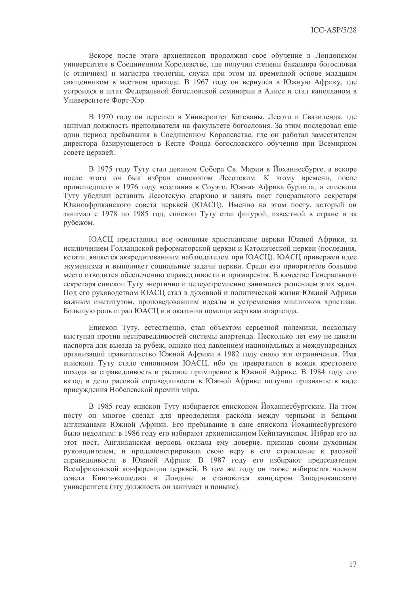Вскоре после этого архиепископ продолжил свое обучение в Лондонском университете в Соединенном Королевстве, где получил степени бакалавра богословия (с отличием) и магистра теологии, служа при этом на временной основе младшим священником в местном приходе. В 1967 году он вернулся в Южную Африку, где устроился в штат Федеральной богословской семинарии в Алисе и стал капелланом в Университете Форт-Хэр.

В 1970 году он перешел в Университет Ботсваны. Лесото и Свазиленда, где занимал должность преподавателя на факультете богословия. За этим последовал еще один период пребывания в Соединенном Королевстве, где он работал заместителем директора базирующегося в Кенте Фонда богословского обучения при Всемирном совете церквей.

В 1975 году Туту стал деканом Собора Св. Марии в Йоханнесбурге, а вскоре после этого он был избран епископом Лесотским. К этому времени, после происшедшего в 1976 году восстания в Соуэто, Южная Африка бурлила, и епископа Туту убедили оставить Лесотскую епархию и занять пост генерального секретаря Южноафриканского совета церквей (ЮАСЦ). Именно на этом посту, который он занимал с 1978 по 1985 год, епископ Туту стал фигурой, известной в стране и за рубежом.

ЮАСЦ представлял все основные христианские церкви Южной Африки, за исключением Голландской реформаторской церкви и Католической церкви (последняя, кстати, является аккредитованным наблюдателем при ЮАСЦ). ЮАСЦ привержен идее экуменизма и выполняет социальные задачи церкви. Среди его приоритетов большое место отводится обеспечению справелливости и примирения. В качестве Генерального секретаря епископ Туту энергично и целеустремленно занимался решением этих задач. Под его руководством ЮАСЦ стал в духовной и политической жизни Южной Африки важным институтом, проповедовавшим идеалы и устремления миллионов христиан. Большую роль играл ЮАСЦ и в оказании помощи жертвам апартеида.

Епископ Туту, естественно, стал объектом серьезной полемики, поскольку выступал против несправелливостей системы апартеила. Несколько лет ему не лавали паспорта для выезда за рубеж, однако под давлением национальных и международных организаций правительство Южной Африки в 1982 году сняло эти ограничения. Имя епископа Туту стало синонимом ЮАСЦ, ибо он превратился в вождя крестового похода за справедливость и расовое примирение в Южной Африке. В 1984 году его вклад в дело расовой справедливости в Южной Африке получил признание в виде присуждения Нобелевской премии мира.

В 1985 году епископ Туту избирается епископом Йоханнесбургским. На этом посту он многое сделал для преодоления раскола между черными и белыми англиканами Южной Африки. Его пребывание в сане епископа Йоханнесбургского было недолгим: в 1986 году его избирают архиепископом Кейптаунским. Избрав его на этот пост, Англиканская церковь оказала ему доверие, признав своим духовным руководителем, и продемонстрировала свою веру в его стремление к расовой справедливости в Южной Африке. В 1987 году его избирают председателем Всеафриканской конференции церквей. В том же году он также избирается членом совета Кингз-колледжа в Лондоне и становится канцлером Западнокапского университета (эту должность он занимает и поныне).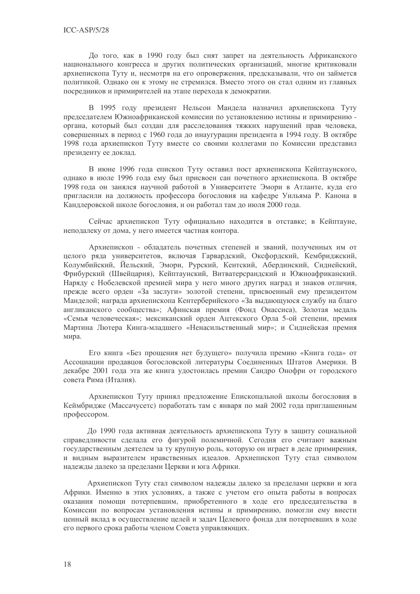До того, как в 1990 году был снят запрет на деятельность Африканского национального конгресса и других политических организаций, многие критиковали архиепископа Туту и, несмотря на его опровержения, предсказывали, что он займется политикой. Однако он к этому не стремился. Вместо этого он стал одним из главных посредников и примирителей на этапе перехода к демократии.

В 1995 году президент Нельсон Мандела назначил архиепископа Туту председателем Южноафриканской комиссии по установлению истины и примирению органа, который был создан для расследования тяжких нарушений прав человека, совершенных в период с 1960 года до инаугурации президента в 1994 году. В октябре 1998 года архиепископ Туту вместе со своими коллегами по Комиссии представил президенту ее доклад.

В июне 1996 года епископ Туту оставил пост архиепископа Кейптаунского, однако в июле 1996 года ему был присвоен сан почетного архиепископа. В октябре 1998 года он занялся научной работой в Университете Эмори в Атланте, куда его пригласили на должность профессора богословия на кафедре Уильяма Р. Канона в Кандлеровской школе богословия, и он работал там до июля 2000 года.

Сейчас архиепископ Туту официально нахолится в отставке: в Кейптауне. неподалеку от дома, у него имеется частная контора.

Архиепископ - обладатель почетных степеней и званий, полученных им от целого ряда университетов, включая Гарвардский, Оксфордский, Кембриджский, Колумбийский, Йельский, Эмори, Рурский, Кентский, Абердинский, Сиднейский, Фрибурский (Швейцария), Кейптаунский, Витватерсрандский и Южноафриканский. Наряду с Нобелевской премией мира у него много других наград и знаков отличия. прежде всего орден «За заслуги» золотой степени, присвоенный ему президентом Манделой; награда архиепископа Кентерберийского «За выдающуюся службу на благо англиканского сообщества»; Афинская премия (Фонд Онассиса), Золотая медаль «Семья человеческая»; мексиканский орден Ацтекского Орла 5-ой степени, премия Мартина Лютера Кинга-младшего «Ненасильственный мир»; и Сиднейская премия мира.

Его книга «Без прощения нет будущего» получила премию «Книга года» от Ассоциации продавцов богословской литературы Соединенных Штатов Америки. В декабре 2001 года эта же книга удостоилась премии Сандро Онофри от городского совета Рима (Италия).

Архиепископ Туту принял предложение Епископальной школы богословия в Кеймбридже (Массачусетс) поработать там с января по май 2002 года приглашенным профессором.

До 1990 года активная деятельность архиепископа Туту в защиту социальной справедливости сделала его фигурой полемичной. Сегодня его считают важным государственным деятелем за ту крупную роль, которую он играет в деле примирения, и видным выразителем нравственных идеалов. Архиепископ Туту стал символом надежды далеко за пределами Церкви и юга Африки.

Архиепископ Туту стал символом надежды далеко за пределами церкви и юга Африки. Именно в этих условиях, а также с учетом его опыта работы в вопросах оказания помоши потерпевшим, приобретенного в ходе его председательства в Комиссии по вопросам установления истины и примирению, помогли ему внести ценный вклад в осуществление целей и задач Целевого фонда для потерпевших в ходе его первого срока работы членом Совета управляющих.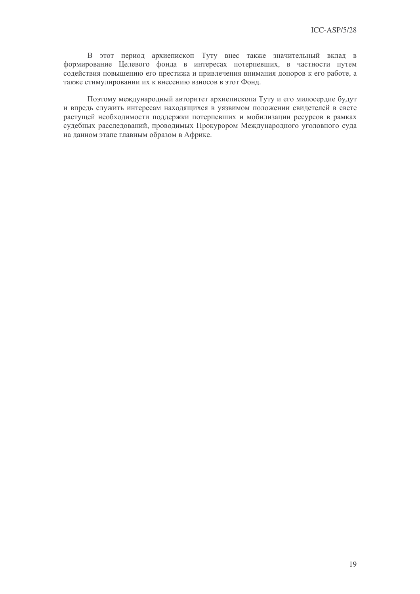В этот период архиепископ Туту внес также значительный вклад в формирование Целевого фонда в интересах потерпевших, в частности путем содействия повышению его престижа и привлечения внимания доноров к его работе, а также стимулировании их к внесению взносов в этот Фонд.

Поэтому международный авторитет архиепископа Туту и его милосердие будут и впредь служить интересам находящихся в уязвимом положении свидетелей в свете растущей необходимости поддержки потерпевших и мобилизации ресурсов в рамках судебных расследований, проводимых Прокурором Международного уголовного суда на данном этапе главным образом в Африке.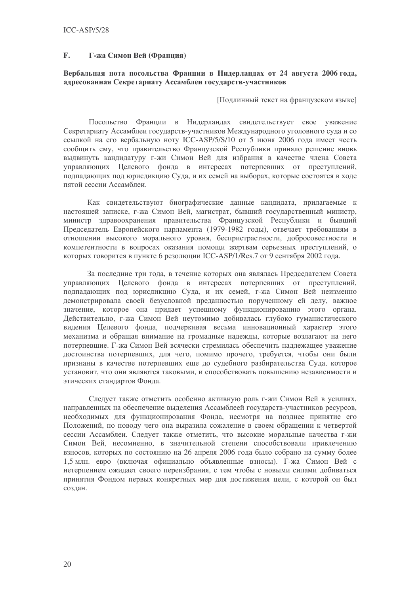#### F. Г-жа Симон Вей (Франция)

# Вербальная нота посольства Франции в Нидерландах от 24 августа 2006 года, адресованная Секретариату Ассамблеи государств-участников

[Подлинный текст на французском языке]

Посольство Франции в Нидерландах свидетельствует свое уважение Секретариату Ассамблеи государств-участников Международного уголовного суда и со ссылкой на его вербальную ноту ICC-ASP/5/S/10 от 5 июня 2006 года имеет честь сообщить ему, что правительство Французской Республики приняло решение вновь выдвинуть кандидатуру г-жи Симон Вей для избрания в качестве члена Совета управляющих Целевого фонда в интересах потерпевших от преступлений, подпадающих под юрисдикцию Суда, и их семей на выборах, которые состоятся в ходе пятой сессии Ассамблеи.

Как свидетельствуют биографические данные кандидата, прилагаемые к настоящей записке, г-жа Симон Вей, магистрат, бывший государственный министр, министр здравоохранения правительства Французской Республики и бывший Председатель Европейского парламента (1979-1982 годы), отвечает требованиям в отношении высокого морального уровня, беспристрастности, добросовестности и компетентности в вопросах оказания помощи жертвам серьезных преступлений, о которых говорится в пункте 6 резолюции ICC-ASP/1/Res.7 от 9 сентября 2002 года.

За последние три года, в течение которых она являлась Председателем Совета управляющих Пелевого фонла в интересах потерпевших от преступлений. подпадающих под юрисдикцию Суда, и их семей, г-жа Симон Вей неизменно демонстрировала своей безусловной преданностью порученному ей делу, важное значение, которое она придает успешному функционированию этого органа. Действительно, г-жа Симон Вей неутомимо добивалась глубоко гуманистического видения Целевого фонда, подчеркивая весьма инновационный характер этого механизма и обрашая внимание на громалные належды, которые возлагают на него потерпевшие. Г-жа Симон Вей всячески стремилась обеспечить наллежащее уважение лостоинства потерпевших, лля чего, помимо прочего, требуется, чтобы они были признаны в качестве потерпевших еще до судебного разбирательства Суда, которое установит, что они являются таковыми, и способствовать повышению независимости и этических стандартов Фонда.

Следует также отметить особенно активную роль г-жи Симон Вей в усилиях, направленных на обеспечение выделения Ассамблеей государств-участников ресурсов, необходимых для функционирования Фонда, несмотря на позднее принятие его Положений, по поводу чего она выразила сожаление в своем обращении к четвертой сессии Ассамблеи. Следует также отметить, что высокие моральные качества г-жи Симон Вей, несомненно, в значительной степени способствовали привлечению взносов, которых по состоянию на 26 апреля 2006 года было собрано на сумму более 1.5 млн. евро (включая официально объявленные взносы). Г-жа Симон Вей с нетерпением ожидает своего переизбрания, с тем чтобы с новыми силами добиваться принятия Фондом первых конкретных мер для достижения цели, с которой он был создан.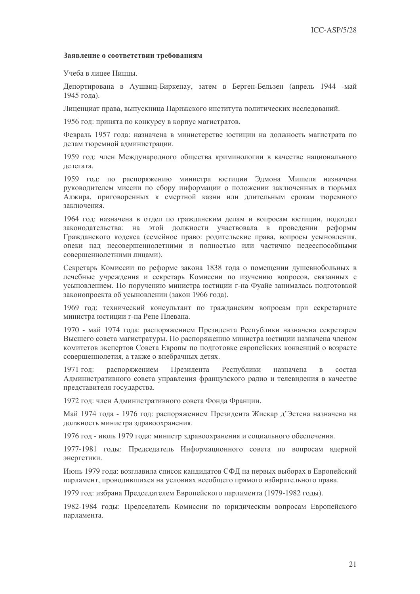#### Заявление о соответствии требованиям

Учеба в лицее Ниццы.

Депортирована в Аушвиц-Биркенау, затем в Берген-Бельзен (апрель 1944 -май 1945 года).

Лиценциат права, выпускница Парижского института политических исследований.

1956 год: принята по конкурсу в корпус магистратов.

Февраль 1957 года: назначена в министерстве юстиции на должность магистрата по делам тюремной администрации.

1959 год: член Международного общества криминологии в качестве национального делегата.

1959 год: по распоряжению министра юстиции Эдмона Мишеля назначена руководителем миссии по сбору информации о положении заключенных в тюрьмах Алжира, приговоренных к смертной казни или длительным срокам тюремного заключения.

1964 год: назначена в отдел по гражданским делам и вопросам юстиции, подотдел законодательства: на этой должности участвовала в проведении реформы Гражланского колекса (семейное право: ролительские права, вопросы усыновления, опеки нал несовершеннолетними и полностью или частично нелееспособными совершеннолетними лицами).

Секретарь Комиссии по реформе закона 1838 года о помещении душевнобольных в лечебные учреждения и секретарь Комиссии по изучению вопросов, связанных с усыновлением. По поручению министра юстиции г-на Фуайе занималась подготовкой законопроекта об усыновлении (закон 1966 года).

1969 год: технический консультант по гражданским вопросам при секретариате министра юстиции г-на Рене Плевана.

1970 - май 1974 года: распоряжением Президента Республики назначена секретарем Высшего совета магистратуры. По распоряжению министра юстиции назначена членом комитетов экспертов Совета Европы по подготовке европейских конвенций о возрасте совершеннолетия, а также о внебрачных детях.

1971 год: распоряжением Президента Республики назначена  $\mathbf{B}$ состав Административного совета управления французского радио и телевидения в качестве представителя государства.

1972 год: член Административного совета Фонда Франции.

Май 1974 года - 1976 год: распоряжением Президента Жискар д'Эстена назначена на должность министра здравоохранения.

1976 год - июль 1979 года: министр здравоохранения и социального обеспечения.

1977-1981 годы: Председатель Информационного совета по вопросам ядерной энергетики.

Июнь 1979 года: возглавила список кандидатов СФД на первых выборах в Европейский парламент, проводившихся на условиях всеобщего прямого избирательного права.

1979 год: избрана Председателем Европейского парламента (1979-1982 годы).

1982-1984 годы: Председатель Комиссии по юридическим вопросам Европейского парламента.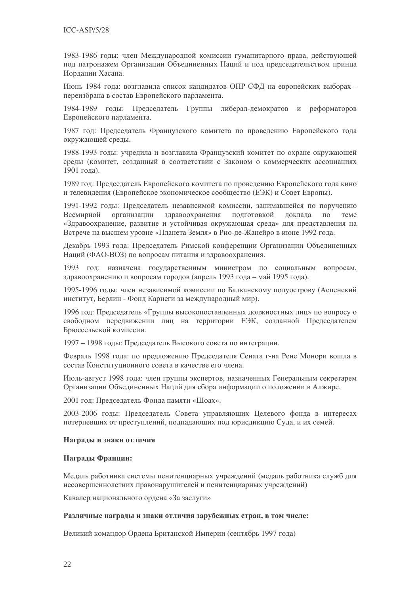1983-1986 годы: член Международной комиссии гуманитарного права, действующей под патронажем Организации Объединенных Наций и под председательством принца Иордании Хасана.

Июнь 1984 года: возглавила список кандидатов ОПР-СФД на европейских выборах переизбрана в состав Европейского парламента.

1984-1989 годы: Председатель Группы либерал-демократов и реформаторов Европейского парламента.

1987 год: Председатель Французского комитета по проведению Европейского года окружающей среды.

1988-1993 годы: учредила и возглавила Французский комитет по охране окружающей среды (комитет, созданный в соответствии с Законом о коммерческих ассоциациях 1901 гола).

1989 год: Председатель Европейского комитета по проведению Европейского года кино и телевидения (Европейское экономическое сообщество (ЕЭК) и Совет Европы).

1991-1992 годы: Председатель независимой комиссии, занимавшейся по поручению здравоохранения Всемирной организации подготовкой доклада  $\Pi$ O теме «Здравоохранение, развитие и устойчивая окружающая среда» для представления на Встрече на высшем уровне «Планета Земля» в Рио-де-Жанейро в июне 1992 года.

Декабрь 1993 года: Председатель Римской конференции Организации Объединенных Наций (ФАО-ВОЗ) по вопросам питания и здравоохранения.

1993 год: назначена государственным министром по социальным вопросам, здравоохранению и вопросам городов (апрель 1993 года – май 1995 года).

1995-1996 годы: член независимой комиссии по Балканскому полуострову (Аспенский институт, Берлин - Фонд Карнеги за международный мир).

1996 год: Председатель «Группы высокопоставленных должностных лиц» по вопросу о свободном передвижении лиц на территории ЕЭК, созданной Председателем Брюссельской комиссии.

1997 - 1998 годы: Председатель Высокого совета по интеграции.

Февраль 1998 года: по предложению Председателя Сената г-на Рене Монори вошла в состав Конституционного совета в качестве его члена.

Июль-август 1998 года: член группы экспертов, назначенных Генеральным секретарем Организации Объединенных Наций для сбора информации о положении в Алжире.

2001 год: Предселатель Фонда памяти «Шоах».

2003-2006 годы: Председатель Совета управляющих Педевого фонда в интересах потерпевших от преступлений, подпадающих под юрисдикцию Суда, и их семей.

### Награды и знаки отличия

### Награды Франции:

Медаль работника системы пенитенциарных учреждений (медаль работника служб для несовершеннолетних правонарушителей и пенитенциарных учреждений)

Кавалер национального ордена «За заслуги»

# Различные награды и знаки отличия зарубежных стран, в том числе:

Великий командор Ордена Британской Империи (сентябрь 1997 года)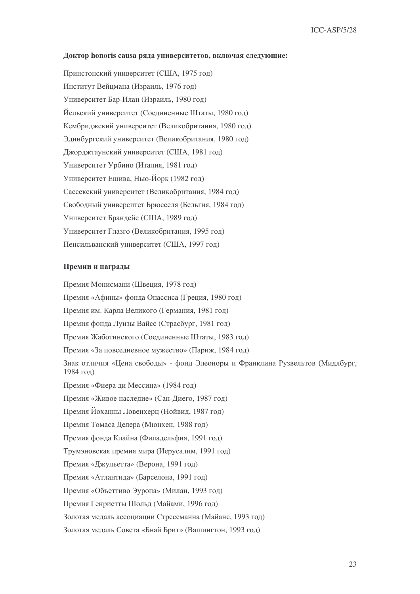#### Доктор honoris causa ряда университетов, включая следующие:

Принстонский университет (США, 1975 год) Институт Вейцмана (Израиль, 1976 год) Университет Бар-Илан (Израиль, 1980 год) Йельский университет (Соединенные Штаты, 1980 год) Кембриджский университет (Великобритания, 1980 год) Эдинбургский университет (Великобритания, 1980 год) Джорджтаунский университет (США, 1981 год) Университет Урбино (Италия, 1981 год) Университет Ешива, Нью-Йорк (1982 год) Сассекский университет (Великобритания, 1984 год) Свободный университет Брюсселя (Бельгия, 1984 год) Университет Брандейс (США, 1989 год) Университет Глазго (Великобритания, 1995 год) Пенсильванский университет (США, 1997 год)

### Премии и награды

Премия Монисмани (Швеция, 1978 год) Премия «Афины» фонда Онассиса (Греция, 1980 год) Премия им. Карла Великого (Германия, 1981 год) Премия фонда Луизы Вайсс (Страсбург, 1981 год) Премия Жаботинского (Соединенные Штаты, 1983 год) Премия «За повседневное мужество» (Париж, 1984 год) Знак отличия «Цена свободы» - фонд Элеоноры и Франклина Рузвельтов (Мидлбург,  $1984$  год) Премия «Фиера ди Мессина» (1984 год) Премия «Живое наследие» (Сан-Диего, 1987 год) Премия Йоханны Ловенхерц (Нойвид, 1987 год) Премия Томаса Делера (Мюнхен, 1988 год) Премия фонда Клайна (Филадельфия, 1991 год) Трумэновская премия мира (Иерусалим, 1991 год) Премия «Джульетта» (Верона, 1991 год) Премия «Атлантида» (Барселона, 1991 год) Премия «Объеттиво Эуропа» (Милан, 1993 год) Премия Генриетты Шольд (Майами, 1996 год) Золотая медаль ассоциации Стресеманна (Майанс, 1993 год) Золотая медаль Совета «Бнай Брит» (Вашингтон, 1993 год)